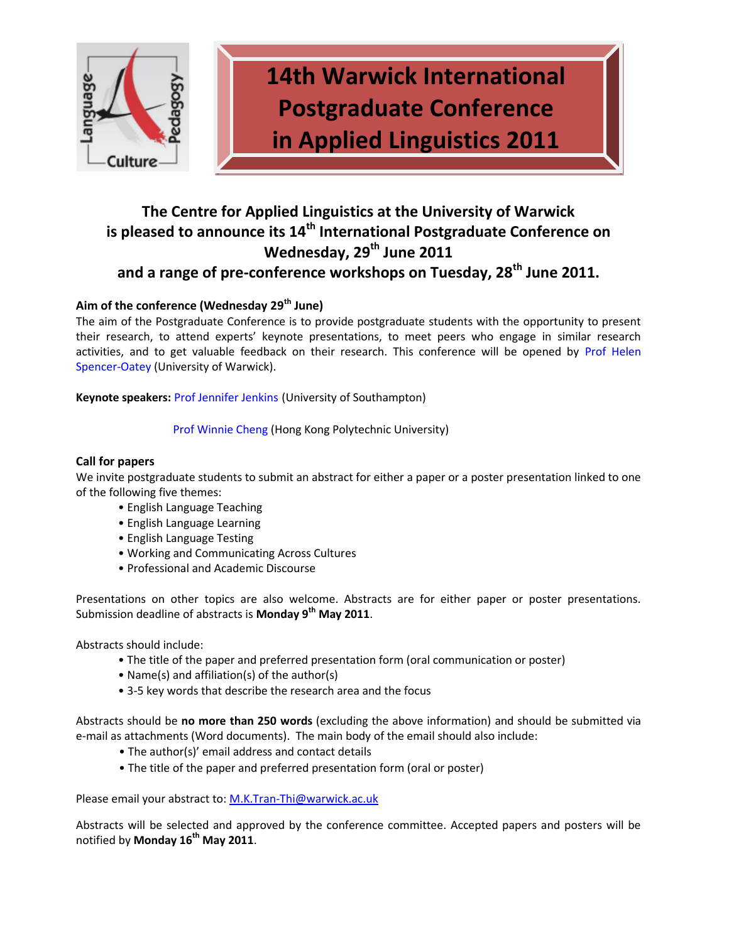

**14th Warwick International Postgraduate Conference in Applied Linguistics 2011**

# **The Centre for Applied Linguistics at the University of Warwick is pleased to announce its 14th International Postgraduate Conference on Wednesday, 29th June 2011 and a range of pre-conference workshops on Tuesday, 28th June 2011.**

# **Aim of the conference (Wednesday 29th June)**

The aim of the Postgraduate Conference is to provide postgraduate students with the opportunity to present their research, to attend experts' keynote presentations, to meet peers who engage in similar research activities, and to get valuable feedback on their research. This conference will be opened by [Prof Helen](http://www2.warwick.ac.uk/fac/soc/al/staff/teaching/spencer-oatey/) [Spencer-Oatey](http://www2.warwick.ac.uk/fac/soc/al/staff/teaching/spencer-oatey/) (University of Warwick).

**Keynote speakers:** [Prof Jennifer Jenkins](http://www.soton.ac.uk/ml/profiles/jenkins.html) (University of Southampton)

Prof Winnie [Cheng](http://www.engl.polyu.edu.hk/People_staff.php?recid=151) (Hong Kong Polytechnic University)

## **Call for papers**

We invite postgraduate students to submit an abstract for either a paper or a poster presentation linked to one of the following five themes:

- English Language Teaching
- English Language Learning
- English Language Testing
- Working and Communicating Across Cultures
- Professional and Academic Discourse

Presentations on other topics are also welcome. Abstracts are for either paper or poster presentations. Submission deadline of abstracts is **Monday 9th May 2011**.

Abstracts should include:

- The title of the paper and preferred presentation form (oral communication or poster)
- Name(s) and affiliation(s) of the author(s)
- 3-5 key words that describe the research area and the focus

Abstracts should be **no more than 250 words** (excluding the above information) and should be submitted via e-mail as attachments (Word documents). The main body of the email should also include:

- The author(s)' email address and contact details
- The title of the paper and preferred presentation form (oral or poster)

Please email your abstract to: [M.K.Tran-Thi@warwick.ac.uk](mailto:M.K.Tran-Thi@warwick.ac.uk)

Abstracts will be selected and approved by the conference committee. Accepted papers and posters will be notified by **Monday 16th May 2011**.